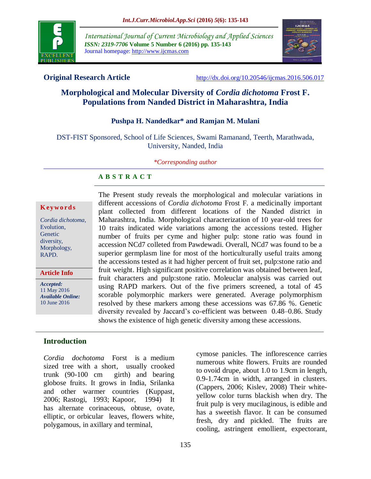

*International Journal of Current Microbiology and Applied Sciences ISSN: 2319-7706* **Volume 5 Number 6 (2016) pp. 135-143** Journal homepage: http://www.ijcmas.com



**Original Research Article** <http://dx.doi.org/10.20546/ijcmas.2016.506.017>

# **Morphological and Molecular Diversity of** *Cordia dichotoma* **Frost F. Populations from Nanded District in Maharashtra, India**

#### **Pushpa H. Nandedkar\* and Ramjan M. Mulani**

DST-FIST Sponsored, School of Life Sciences, Swami Ramanand, Teerth, Marathwada, University, Nanded, India

#### *\*Corresponding author*

#### **A B S T R A C T**

#### **K ey w o rd s**

*Cordia dichotoma*, Evolution, Genetic diversity, Morphology, RAPD.

**Article Info**

*Accepted:*  11 May 2016 *Available Online:* 10 June 2016

The Present study reveals the morphological and molecular variations in different accessions of *Cordia dichotoma* Frost F. a medicinally important plant collected from different locations of the Nanded district in Maharashtra, India. Morphological characterization of 10 year-old trees for 10 traits indicated wide variations among the accessions tested. Higher number of fruits per cyme and higher pulp: stone ratio was found in accession NCd7 colleted from Pawdewadi. Overall, NCd7 was found to be a superior germplasm line for most of the horticulturally useful traits among the accessions tested as it had higher percent of fruit set, pulp:stone ratio and fruit weight. High significant positive correlation was obtained between leaf, fruit characters and pulp:stone ratio. Moleuclar analysis was carried out using RAPD markers. Out of the five primers screened, a total of 45 scorable polymorphic markers were generated. Average polymorphism resolved by these markers among these accessions was 67.86 %. Genetic diversity revealed by Jaccard's co-efficient was between 0.48–0.86. Study shows the existence of high genetic diversity among these accessions.

## **Introduction**

*Cordia dochotoma* Forst is a medium sized tree with a short, usually crooked trunk (90-100 cm girth) and bearing globose fruits. It grows in India, Srilanka and other warmer countries (Kuppast, 2006; Rastogi, 1993; Kapoor, 1994) It has alternate corinaceous, obtuse, ovate, elliptic, or orbicular leaves, flowers white, polygamous, in axillary and terminal,

cymose panicles. The inflorescence carries numerous white flowers. Fruits are rounded to ovoid drupe, about 1.0 to 1.9cm in length, 0.9-1.74cm in width, arranged in clusters. (Cappers, 2006; Kislev, 2008) Their whiteyellow color turns blackish when dry. The fruit pulp is very mucilaginous, is edible and has a sweetish flavor. It can be consumed fresh, dry and pickled. The fruits are cooling, astringent emollient, expectorant,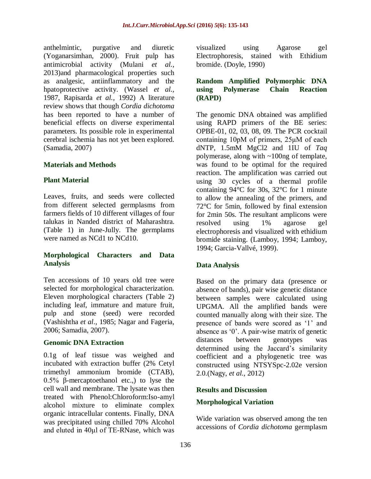anthelmintic, purgative and diuretic (Yoganarsimhan, 2000). Fruit pulp has antimicrobial activity (Mulani *et al.,*  2013)and pharmacological properties such as analgesic, antiinflammatory and the hpatoprotective activity. (Wassel *et al.,* 1987, Rapisarda *et al.,* 1992) A literature review shows that though *Cordia dichotoma*  has been reported to have a number of beneficial effects on diverse experimental parameters. Its possible role in experimental cerebral ischemia has not yet been explored. (Samadia, 2007)

#### **Materials and Methods**

#### **Plant Material**

Leaves, fruits, and seeds were collected from different selected germplasms from farmers fields of 10 different villages of four talukas in Nanded district of Maharashtra. (Table 1) in June-Jully. The germplams were named as NCd1 to NCd10.

#### **Morphological Characters and Data Analysis**

Ten accessions of 10 years old tree were selected for morphological characterization. Eleven morphological characters (Table 2) including leaf, immature and mature fruit, pulp and stone (seed) were recorded (Vashishtha *et al*., 1985; Nagar and Fageria, 2006; Samadia, 2007).

#### **Genomic DNA Extraction**

0.1g of leaf tissue was weighed and incubated with extraction buffer (2% Cetyl trimethyl ammonium bromide (CTAB), 0.5% β-mercaptoethanol etc.,) to lyse the cell wall and membrane. The lysate was then treated with Phenol:Chloroform:Iso-amyl alcohol mixture to eliminate complex organic intracellular contents. Finally, DNA was precipitated using chilled 70% Alcohol and eluted in 40μl of TE-RNase, which was

visualized using Agarose gel Electrophoresis, stained with Ethidium bromide. (Doyle, 1990)

#### **Random Amplified Polymorphic DNA using Polymerase Chain Reaction (RAPD)**

The genomic DNA obtained was amplified using RAPD primers of the BE series: OPBE-01, 02, 03, 08, 09. The PCR cocktail containing 10pM of primers, 25μM of each dNTP, 1.5mM MgCl2 and 1IU of *Taq*  polymerase, along with ~100ng of template, was found to be optimal for the required reaction. The amplification was carried out using 30 cycles of a thermal profile containing 94°C for 30s, 32°C for 1 minute to allow the annealing of the primers, and 72°C for 5min, followed by final extension for 2min 50s. The resultant amplicons were resolved using 1% agarose gel electrophoresis and visualized with ethidium bromide staining. (Lamboy, 1994; Lamboy, 1994; Garcia-Vallvé, 1999).

#### **Data Analysis**

Based on the primary data (presence or absence of bands), pair wise genetic distance between samples were calculated using UPGMA. All the amplified bands were counted manually along with their size. The presence of bands were scored as '1' and absence as '0'. A pair-wise matrix of genetic distances between genotypes was determined using the Jaccard's similarity coefficient and a phylogenetic tree was constructed using NTSYSpc-2.02e version 2.0.(Nagy, *et al.,* 2012)

#### **Results and Discussion**

#### **Morphological Variation**

Wide variation was observed among the ten accessions of *Cordia dichotoma* germplasm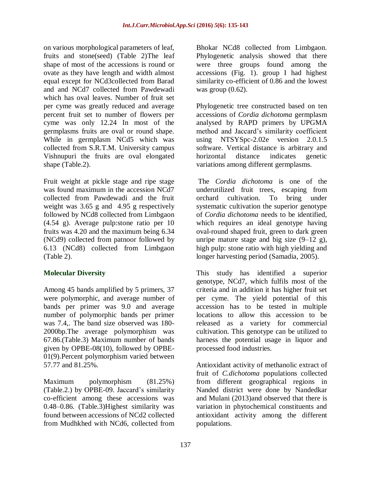on various morphological parameters of leaf, fruits and stone(seed) (Table 2)The leaf shape of most of the accessions is round or ovate as they have length and width almost equal except for NCd3collected from Barad and and NCd7 collected from Pawdewadi which has oval leaves. Number of fruit set per cyme was greatly reduced and average percent fruit set to number of flowers per cyme was only 12.24 In most of the germplasms fruits are oval or round shape. While in germplasm NCd5 which was collected from S.R.T.M. University campus Vishnupuri the fruits are oval elongated shape (Table.2).

Fruit weight at pickle stage and ripe stage was found maximum in the accession NCd7 collected from Pawdewadi and the fruit weight was 3.65 g and 4.95 g respectively followed by NCd8 collected from Limbgaon (4.54 g). Average pulp:stone ratio per 10 fruits was 4.20 and the maximum being 6.34 (NCd9) collected from patnoor followed by 6.13 (NCd8) collected from Limbgaon (Table 2).

## **Molecular Diversity**

Among 45 bands amplified by 5 primers, 37 were polymorphic, and average number of bands per primer was 9.0 and average number of polymorphic bands per primer was 7.4,. The band size observed was 180- 2000bp.The average polymorphism was 67.86.(Table.3) Maximum number of bands given by OPBE-08(10), followed by OPBE-01(9).Percent polymorphism varied between 57.77 and 81.25%.

Maximum polymorphism (81.25%) (Table.2.) by OPBE-09. Jaccard's similarity co-efficient among these accessions was 0.48–0.86. (Table.3)Highest similarity was found between accessions of NCd2 collected from Mudhkhed with NCd6, collected from

Bhokar NCd8 collected from Limbgaon. Phylogenetic analysis showed that there were three groups found among the accessions (Fig. 1). group I had highest similarity co-efficient of 0.86 and the lowest was group (0.62).

Phylogenetic tree constructed based on ten accessions of *Cordia dichotoma* germplasm analysed by RAPD primers by UPGMA method and Jaccard's similarity coefficient using NTSYSpc-2.02e version 2.0.1.5 software. Vertical distance is arbitrary and horizontal distance indicates genetic variations among different germplasms.

The *Cordia dichotoma* is one of the underutilized fruit trees, escaping from orchard cultivation. To bring under systematic cultivation the superior genotype of *Cordia dichotoma* needs to be identified, which requires an ideal genotype having oval-round shaped fruit, green to dark green unripe mature stage and big size  $(9-12 \text{ g})$ , high pulp: stone ratio with high yielding and longer harvesting period (Samadia, 2005).

This study has identified a superior genotype, NCd7, which fulfils most of the criteria and in addition it has higher fruit set per cyme. The yield potential of this accession has to be tested in multiple locations to allow this accession to be released as a variety for commercial cultivation. This genotype can be utilized to harness the potential usage in liquor and processed food industries.

Antioxidant activity of methanolic extract of fruit of *C.dichotoma* populations collected from different geographical regions in Nanded district were done by Nandedkar and Mulani (2013)and observed that there is variation in phytochemical constituents and antioxidant activity among the different populations.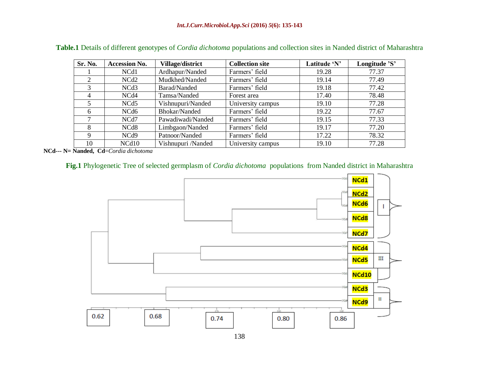| Sr. No.        | <b>Accession No.</b> | <b>Village/district</b> | <b>Collection site</b> | Latitude 'N' | Longitude 'S' |  |
|----------------|----------------------|-------------------------|------------------------|--------------|---------------|--|
|                | NCd1                 | Ardhapur/Nanded         | Farmers' field         | 19.28        | 77.37         |  |
|                | NCd <sub>2</sub>     | Mudkhed/Nanded          | Farmers' field         | 19.14        | 77.49         |  |
| 3              | NCd <sub>3</sub>     | Barad/Nanded            | Farmers' field         | 19.18        | 77.42         |  |
| $\overline{4}$ | NCd4                 | Tamsa/Nanded            | Forest area            | 17.40        | 78.48         |  |
| 5.             | NCd <sub>5</sub>     | Vishnupuri/Nanded       | University campus      | 19.10        | 77.28         |  |
| 6              | NCd <sub>6</sub>     | Bhokar/Nanded           | Farmers' field         | 19.22        | 77.67         |  |
|                | NCd7                 | Pawadiwadi/Nanded       | Farmers' field         | 19.15        | 77.33         |  |
| 8              | NC <sub>d</sub> 8    | Limbgaon/Nanded         | Farmers' field         | 19.17        | 77.20         |  |
| 9              | NCd <sub>9</sub>     | Patnoor/Nanded          | Farmers' field         | 17.22        | 78.32         |  |
| 10             | NCd10                | Vishnupuri /Nanded      | University campus      | 19.10        | 77.28         |  |

**Table.1** Details of different genotypes of *Cordia dichotoma* populations and collection sites in Nanded district of Maharashtra

**NCd--- N= Nanded, Cd**=*Cordia dichotoma* 

### **Fig.1** Phylogenetic Tree of selected germplasm of *Cordia dichotoma* populations from Nanded district in Maharashtra

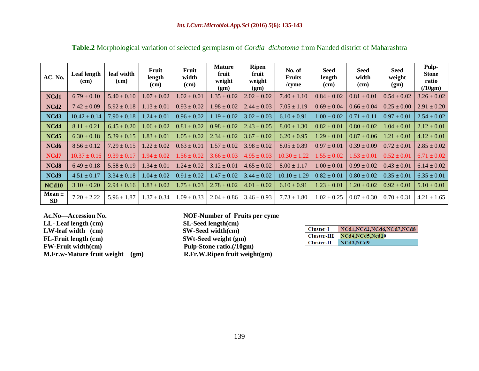| AC. No.                 | Leaf length<br>(cm) | leaf width<br>(cm) | Fruit<br>length<br>(cm) | Fruit<br>width<br>(cm) | <b>Mature</b><br>fruit<br>weight<br>(gm) | <b>Ripen</b><br>fruit<br>weight<br>(gm) | No. of<br><b>Fruits</b><br>$/c$ yme | Seed<br>length<br>(c <sub>m</sub> ) | <b>Seed</b><br>width<br>(cm) | <b>Seed</b><br>weight<br>(gm) | Pulp-<br><b>Stone</b><br>ratio<br>(10gm) |
|-------------------------|---------------------|--------------------|-------------------------|------------------------|------------------------------------------|-----------------------------------------|-------------------------------------|-------------------------------------|------------------------------|-------------------------------|------------------------------------------|
| NCd1                    | $6.79 \pm 0.10$     | $5.40 \pm 0.10$    | $1.07 \pm 0.02$         | $1.02 \pm 0.01$        | $1.35 \pm 0.02$                          | $2.02 \pm 0.02$                         | $7.40 \pm 1.10$                     | $0.84 \pm 0.02$                     | $0.81 \pm 0.01$              | $0.54 \pm 0.02$               | $3.26 \pm 0.02$                          |
| NCd <sub>2</sub>        | $7.42 \pm 0.09$     | $5.92 \pm 0.18$    | $1.13 \pm 0.01$         | $0.93 \pm 0.02$        | $1.98 \pm 0.02$                          | $2.44 \pm 0.03$                         | $7.05 \pm 1.19$                     | $0.69 \pm 0.04$                     | $0.66 \pm 0.04$              | $0.25 \pm 0.00$               | $2.91 \pm 0.20$                          |
| NCd3                    | $10.42 \pm 0.14$    | $7.90 \pm 0.18$    | $1.24 \pm 0.01$         | $0.96 \pm 0.02$        | $1.19 \pm 0.02$                          | $3.02 \pm 0.03$                         | $6.10 \pm 0.91$                     | $1.00 \pm 0.02$                     | $0.71 \pm 0.11$              | $0.97 \pm 0.01$               | $2.54 \pm 0.02$                          |
| NCd4                    | $8.11 \pm 0.21$     | $6.45 \pm 0.20$    | $1.06 \pm 0.02$         | $0.81 \pm 0.02$        | $0.98 \pm 0.02$                          | $2.43 \pm 0.05$                         | $8.00 \pm 1.30$                     | $0.82 \pm 0.01$                     | $0.80 \pm 0.02$              | $1.04 \pm 0.01$               | $2.12 \pm 0.01$                          |
| NCd <sub>5</sub>        | $6.30 \pm 0.18$     | $5.39 \pm 0.15$    | $1.83 \pm 0.01$         | $1.05 \pm 0.02$        | $2.34 \pm 0.02$                          | $3.67 \pm 0.02$                         | $6.20 \pm 0.95$                     | $1.29 \pm 0.01$                     | $0.87 \pm 0.06$              | $1.21 \pm 0.01$               | $4.12 \pm 0.01$                          |
| NCd6                    | $8.56 \pm 0.12$     | $7.29 \pm 0.15$    | $1.22 \pm 0.02$         | $0.63 \pm 0.01$        | $1.57 \pm 0.02$                          | $3.98 \pm 0.02$                         | $8.05 \pm 0.89$                     | $0.97 \pm 0.01$                     | $0.39 \pm 0.09$              | $0.72 \pm 0.01$               | $2.85 \pm 0.02$                          |
| NCd7                    | $10.37 \pm 0.16$    | $9.39 \pm 0.17$    | $1.94 \pm 0.02$         | $1.56 \pm 0.02$        | $3.66 \pm 0.03$                          | $4.95 \pm 0.03$                         | $10.30 \pm 1.22$                    | $1.55 \pm 0.02$                     | $1.53 \pm 0.01$              | $0.52 \pm 0.01$               | $6.71 \pm 0.02$                          |
| NCd8                    | $6.49 \pm 0.18$     | $5.58 \pm 0.19$    | $1.34 \pm 0.01$         | $1.24 \pm 0.02$        | $3.12 \pm 0.01$                          | $4.65 \pm 0.02$                         | $8.00 \pm 1.17$                     | $1.00 \pm 0.01$                     | $0.99 \pm 0.02$              | $0.43 \pm 0.01$               | $6.14 \pm 0.02$                          |
| NCd9                    | $4.51 \pm 0.17$     | $3.34 \pm 0.18$    | $1.04 \pm 0.02$         | $0.91 \pm 0.02$        | $1.47 \pm 0.02$                          | $3.44 \pm 0.02$                         | $10.10 \pm 1.29$                    | $0.82 \pm 0.01$                     | $0.80 \pm 0.02$              | $0.35 \pm 0.01$               | $6.35 \pm 0.01$                          |
| NCd <sub>10</sub>       | $3.10 \pm 0.20$     | $2.94 \pm 0.16$    | $1.83 \pm 0.02$         | $1.75 \pm 0.03$        | $2.78 \pm 0.02$                          | $4.01 \pm 0.02$                         | $6.10 \pm 0.91$                     | $1.23 \pm 0.01$                     | $1.20 \pm 0.02$              | $0.92 \pm 0.01$               | $5.10 \pm 0.01$                          |
| Mean $\pm$<br><b>SD</b> | $7.20 \pm 2.22$     | $5.96 \pm 1.87$    | $1.37 \pm 0.34$         | $1.09 \pm 0.33$        | $2.04 \pm 0.86$                          | $3.46 \pm 0.93$                         | $7.73 \pm 1.80$                     | $1.02 \pm 0.25$                     | $0.87 \pm 0.30$              | $0.70 \pm 0.31$               | $4.21 \pm 1.65$                          |

**Table.2** Morphological variation of selected germplasm of *Cordia dichotoma* from Nanded district of Maharashtra

**LL- Leaf length (cm)** SL-Seed length(cm)<br> **LW-leaf width (cm)** SW-Seed width(cm) LW-leaf width (cm) FL-Fruit length (cm) SWt-Seed weight (gm)<br>FW-Fruit width (cm) Pulp-Stone ratio. (/10gr

**Ac.No—Accession No. NOF-Number of Fruits per cyme Pulp-Stone ratio.(/10gm) M.Fr.w-Mature fruit weight (gm) R.Fr.W.Ripen fruit weight(gm)**

| Cluster-I   | NCd1.NCd2.NCd6.NCd7.NCd8 |
|-------------|--------------------------|
| Cluster-III | NCd4.NCd5.Ncd10          |
| Cluster-II  | NCd3.NCd9                |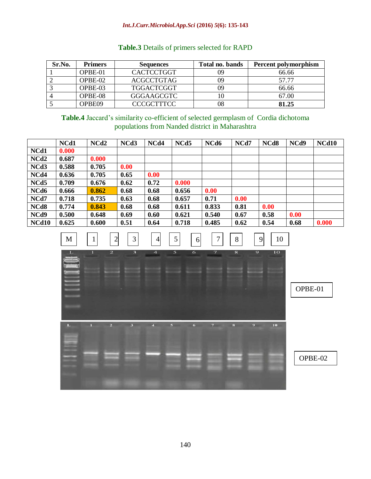#### *Int.J.Curr.Microbiol.App.Sci* **(2016)** *5***(6): 135-143**

| Sr.No. | <b>Primers</b> | <b>Sequences</b>  | Total no. bands | Percent polymorphism |
|--------|----------------|-------------------|-----------------|----------------------|
|        | OPBE-01        | <b>CACTCCTGGT</b> |                 | 66.66                |
|        | OPBE-02        | <b>ACGCCTGTAG</b> | 09              | 57.77                |
|        | OPBE-03        | TGGACTCGGT        | 09              | 66.66                |
|        | OPBE-08        | GGGAAGCGTC        |                 | 67.00                |
|        | OPBE09         | <b>CCCGCTTTCC</b> | 08              | 81.25                |

## **Table.3** Details of primers selected for RAPD

**Table.4** Jaccard's similarity co-efficient of selected germplasm of Cordia dichotoma populations from Nanded district in Maharashtra

|                   | NCd1  | NCd <sub>2</sub> | NCd3 | NCd4 | NCd <sub>5</sub> | NCd6  | NCd7 | NC <sub>d</sub> 8 | NCd9 | <b>NCd10</b> |
|-------------------|-------|------------------|------|------|------------------|-------|------|-------------------|------|--------------|
| NCd1              | 0.000 |                  |      |      |                  |       |      |                   |      |              |
| NCd <sub>2</sub>  | 0.687 | 0.000            |      |      |                  |       |      |                   |      |              |
| NCd <sub>3</sub>  | 0.588 | 0.705            | 0.00 |      |                  |       |      |                   |      |              |
| NCd4              | 0.636 | 0.705            | 0.65 | 0.00 |                  |       |      |                   |      |              |
| NCd <sub>5</sub>  | 0.709 | 0.676            | 0.62 | 0.72 | 0.000            |       |      |                   |      |              |
| NCd6              | 0.666 | 0.862            | 0.68 | 0.68 | 0.656            | 0.00  |      |                   |      |              |
| NCd7              | 0.718 | 0.735            | 0.63 | 0.68 | 0.657            | 0.71  | 0.00 |                   |      |              |
| NC <sub>d</sub> 8 | 0.774 | 0.843            | 0.68 | 0.68 | 0.611            | 0.833 | 0.81 | 0.00              |      |              |
| NCd9              | 0.500 | 0.648            | 0.69 | 0.60 | 0.621            | 0.540 | 0.67 | 0.58              | 0.00 |              |
| NCd <sub>10</sub> | 0.625 | 0.600            | 0.51 | 0.64 | 0.718            | 0.485 | 0.62 | 0.54              | 0.68 | 0.000        |

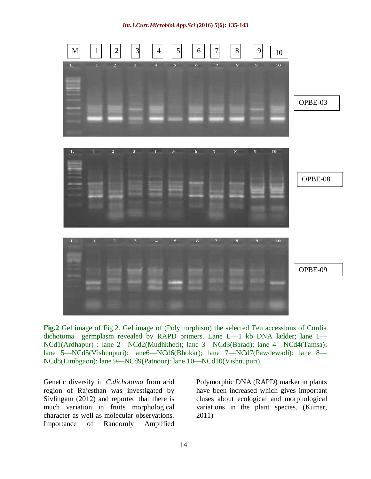*Int.J.Curr.Microbiol.App.Sci* **(2016)** *5***(6): 135-143**



**Fig.2** Gel image of Fig.2. Gel image of (Polymorphism) the selected Ten accessions of Cordia dichotoma germplasm revealed by RAPD primers. Lane L—1 kb DNA ladder; lane 1— NCd1(Ardhapur) : lane 2—NCd2(Mudhkhed); lane 3—NCd3(Barad); lane 4—NCd4(Tamsa); lane 5—NCd5(Vishnupuri); lane6—NCd6(Bhokar); lane 7—NCd7(Pawdewadi); lane 8— NCd8(Limbgaon); lane 9—NCd9(Patnoor): lane 10—NCd10(Vishnupuri).

Genetic diversity in *C.dichotoma* from arid region of Rajesthan was investigated by Sivlingam (2012) and reported that there is much variation in fruits morphological character as well as molecular observations. Importance of Randomly Amplified

Polymorphic DNA (RAPD) marker in plants have been increased which gives important cluses about ecological and morphological variations in the plant species. (Kumar, 2011)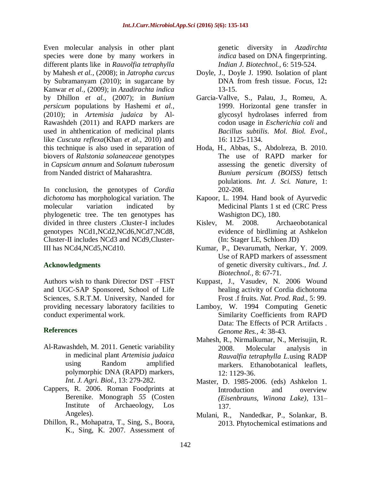Even molecular analysis in other plant species were done by many workers in different plants like in *Rauvolfia tetraphylla*  by Mahesh *et al.,* (2008); in *Jatropha curcus* by Subramanyam (2010); in sugarcane by Kanwar *et al.,* (2009); in *Azadirachta indica* by Dhillon *et al.,* (2007); in *Bunium persicum* populations by Hashemi *et al.,* (2010); in *Artemisia judaica* by Al-Rawashdeh (2011) and RAPD markers are used in ahthentication of medicinal plants like *Cuscuta reflexa*(Khan *et al.,* 2010) and this technique is also used in separation of biovers of *Ralstonia solaneaceae* genotypes in *Capsicum annum* and *Solanum tuberosum* from Nanded district of Maharashtra.

In conclusion, the genotypes of *Cordia dichotoma* has morphological variation. The molecular variation indicated by phylogenetic tree. The ten genotypes has divided in three clusters .Cluster-I includes genotypes NCd1,NCd2,NCd6,NCd7,NCd8, Cluster-II includes NCd3 and NCd9,Cluster-III has NCd4,NCd5,NCd10.

#### **Acknowledgments**

Authors wish to thank Director DST –FIST and UGC-SAP Sponsored, School of Life Sciences, S.R.T.M. University, Nanded for providing necessary laboratory facilities to conduct experimental work.

#### **References**

- Al-Rawashdeh, M. 2011. Genetic variability in medicinal plant *Artemisia judaica*  using Random amplified polymorphic DNA (RAPD) markers, *Int. J. Agri. Biol.,* 13: 279-282.
- Cappers, R. 2006. Roman Foodprints at Berenike. Monograph *55* (Costen Institute of Archaeology, Los Angeles).
- Dhillon, R., Mohapatra, T., Sing, S., Boora, K., Sing, K. 2007. Assessment of

genetic diversity in *Azadirchta indica* based on DNA fingerprinting. *Indian J. Biotechnol.,* 6: 519-524.

- Doyle, J., Doyle J. 1990. Isolation of plant DNA from fresh tissue. *Focus,* 12**:**  13-15.
- Garcia-Vallve, S., Palau, J., Romeu, A. 1999. [Horizontal gene transfer in](https://scholar.google.com/citations?view_op=view_citation&hl=de&user=Lx07BG4AAAAJ&citation_for_view=Lx07BG4AAAAJ:UeHWp8X0CEIC)  [glycosyl hydrolases inferred from](https://scholar.google.com/citations?view_op=view_citation&hl=de&user=Lx07BG4AAAAJ&citation_for_view=Lx07BG4AAAAJ:UeHWp8X0CEIC)  codon usage in *[Escherichia coli](https://scholar.google.com/citations?view_op=view_citation&hl=de&user=Lx07BG4AAAAJ&citation_for_view=Lx07BG4AAAAJ:UeHWp8X0CEIC)* and *[Bacillus subtilis](https://scholar.google.com/citations?view_op=view_citation&hl=de&user=Lx07BG4AAAAJ&citation_for_view=Lx07BG4AAAAJ:UeHWp8X0CEIC)*. *Mol. Biol. Evol.*, 16: 1125-1134.
- Hoda, H., Abbas, S., Abdolreza, B. 2010. The use of RAPD marker for assessing the genetic diversity of *Bunium persicum (BOISS)* fettsch polulations. *Int. J. Sci. Nature,* 1: 202-208.
- Kapoor, L. 1994. Hand book of Ayurvedic Medicinal Plants 1 st ed (CRC Press Washigton DC), 180.
- Kislev, M. 2008. Archaeobotanical evidence of birdliming at Ashkelon (In: Stager LE, Schloen JD)
- Kumar, P., Devarumath, Nerkar, Y. 2009. Use of RAPD markers of assessment of genetic diversity cultivars., *Ind. J. Biotechnol.,* 8: 67-71.
- Kuppast, J., Vasudev, N. 2006 Wound healing activity of Cordia dichotoma Frost .f fruits. *Nat. Prod. Rad.,* 5: 99.
- Lamboy, W. 1994 Computing Genetic Similarity Coefficients from RAPD Data: The Effects of PCR Artifacts . *Genome Res.,* 4: 38-43.
- Mahesh, R., Nirmalkumar, N., Merisujin, R. 2008. Molecular analysis in *Rauvalfia tetraphylla L.*using RADP markers. Ethanobotanical leaflets*,* 12: 1129-36.
- Master, D. 1985-2006. (eds) Ashkelon 1. Introduction and overview *(Eisenbrauns, Winona Lake)*, 131– 137.
- Mulani, R., Nandedkar, P., Solankar, B. 2013. Phytochemical estimations and